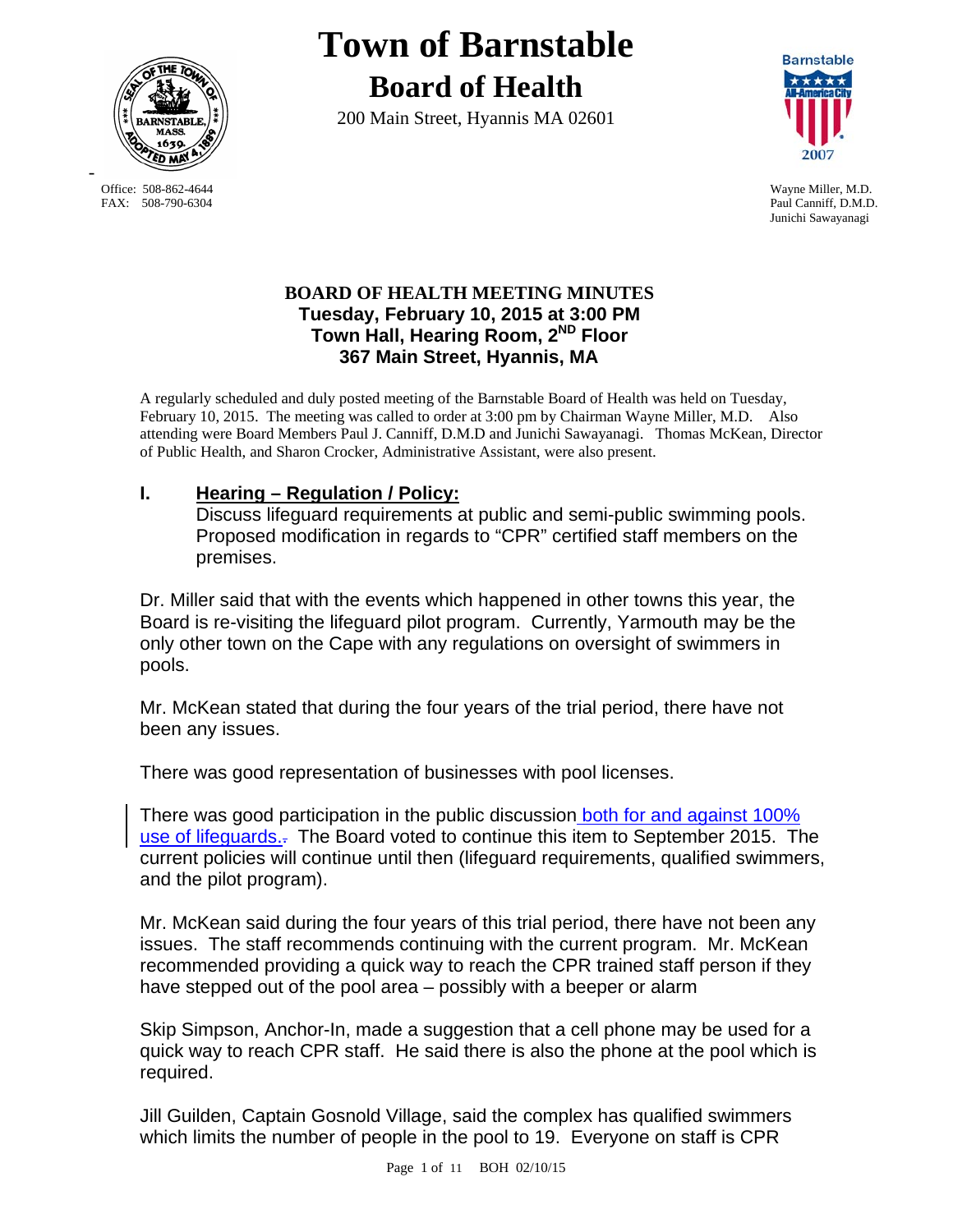

**Town of Barnstable Board of Health**

200 Main Street, Hyannis MA 02601



Junichi Sawayanagi

## **BOARD OF HEALTH MEETING MINUTES Tuesday, February 10, 2015 at 3:00 PM Town Hall, Hearing Room, 2ND Floor 367 Main Street, Hyannis, MA**

A regularly scheduled and duly posted meeting of the Barnstable Board of Health was held on Tuesday, February 10, 2015. The meeting was called to order at 3:00 pm by Chairman Wayne Miller, M.D. Also attending were Board Members Paul J. Canniff, D.M.D and Junichi Sawayanagi. Thomas McKean, Director of Public Health, and Sharon Crocker, Administrative Assistant, were also present.

## **I. Hearing – Regulation / Policy:**

Discuss lifeguard requirements at public and semi-public swimming pools. Proposed modification in regards to "CPR" certified staff members on the premises.

Dr. Miller said that with the events which happened in other towns this year, the Board is re-visiting the lifeguard pilot program. Currently, Yarmouth may be the only other town on the Cape with any regulations on oversight of swimmers in pools.

Mr. McKean stated that during the four years of the trial period, there have not been any issues.

There was good representation of businesses with pool licenses.

There was good participation in the public discussion both for and against 100% use of lifeguards... The Board voted to continue this item to September 2015. The current policies will continue until then (lifeguard requirements, qualified swimmers, and the pilot program).

Mr. McKean said during the four years of this trial period, there have not been any issues. The staff recommends continuing with the current program. Mr. McKean recommended providing a quick way to reach the CPR trained staff person if they have stepped out of the pool area – possibly with a beeper or alarm

Skip Simpson, Anchor-In, made a suggestion that a cell phone may be used for a quick way to reach CPR staff. He said there is also the phone at the pool which is required.

Jill Guilden, Captain Gosnold Village, said the complex has qualified swimmers which limits the number of people in the pool to 19. Everyone on staff is CPR

 Office: 508-862-4644 Wayne Miller, M.D. FAX: 508-790-6304 Paul Canniff, D.M.D.

-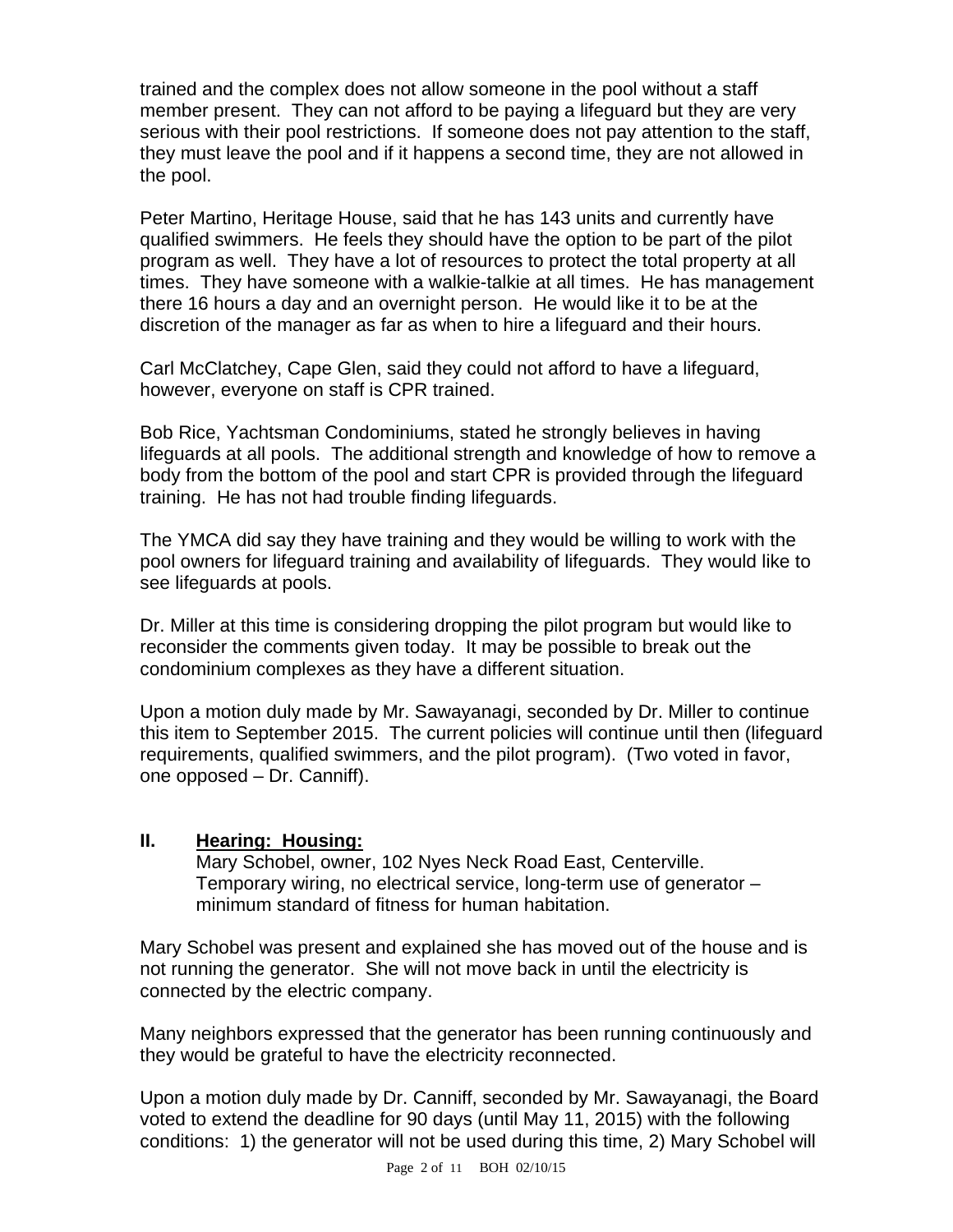trained and the complex does not allow someone in the pool without a staff member present. They can not afford to be paying a lifeguard but they are very serious with their pool restrictions. If someone does not pay attention to the staff, they must leave the pool and if it happens a second time, they are not allowed in the pool.

Peter Martino, Heritage House, said that he has 143 units and currently have qualified swimmers. He feels they should have the option to be part of the pilot program as well. They have a lot of resources to protect the total property at all times. They have someone with a walkie-talkie at all times. He has management there 16 hours a day and an overnight person. He would like it to be at the discretion of the manager as far as when to hire a lifeguard and their hours.

Carl McClatchey, Cape Glen, said they could not afford to have a lifeguard, however, everyone on staff is CPR trained.

Bob Rice, Yachtsman Condominiums, stated he strongly believes in having lifeguards at all pools. The additional strength and knowledge of how to remove a body from the bottom of the pool and start CPR is provided through the lifeguard training. He has not had trouble finding lifeguards.

The YMCA did say they have training and they would be willing to work with the pool owners for lifeguard training and availability of lifeguards. They would like to see lifeguards at pools.

Dr. Miller at this time is considering dropping the pilot program but would like to reconsider the comments given today. It may be possible to break out the condominium complexes as they have a different situation.

Upon a motion duly made by Mr. Sawayanagi, seconded by Dr. Miller to continue this item to September 2015. The current policies will continue until then (lifeguard requirements, qualified swimmers, and the pilot program). (Two voted in favor, one opposed – Dr. Canniff).

## **II. Hearing: Housing:**

Mary Schobel, owner, 102 Nyes Neck Road East, Centerville. Temporary wiring, no electrical service, long-term use of generator – minimum standard of fitness for human habitation.

Mary Schobel was present and explained she has moved out of the house and is not running the generator. She will not move back in until the electricity is connected by the electric company.

Many neighbors expressed that the generator has been running continuously and they would be grateful to have the electricity reconnected.

Upon a motion duly made by Dr. Canniff, seconded by Mr. Sawayanagi, the Board voted to extend the deadline for 90 days (until May 11, 2015) with the following conditions: 1) the generator will not be used during this time, 2) Mary Schobel will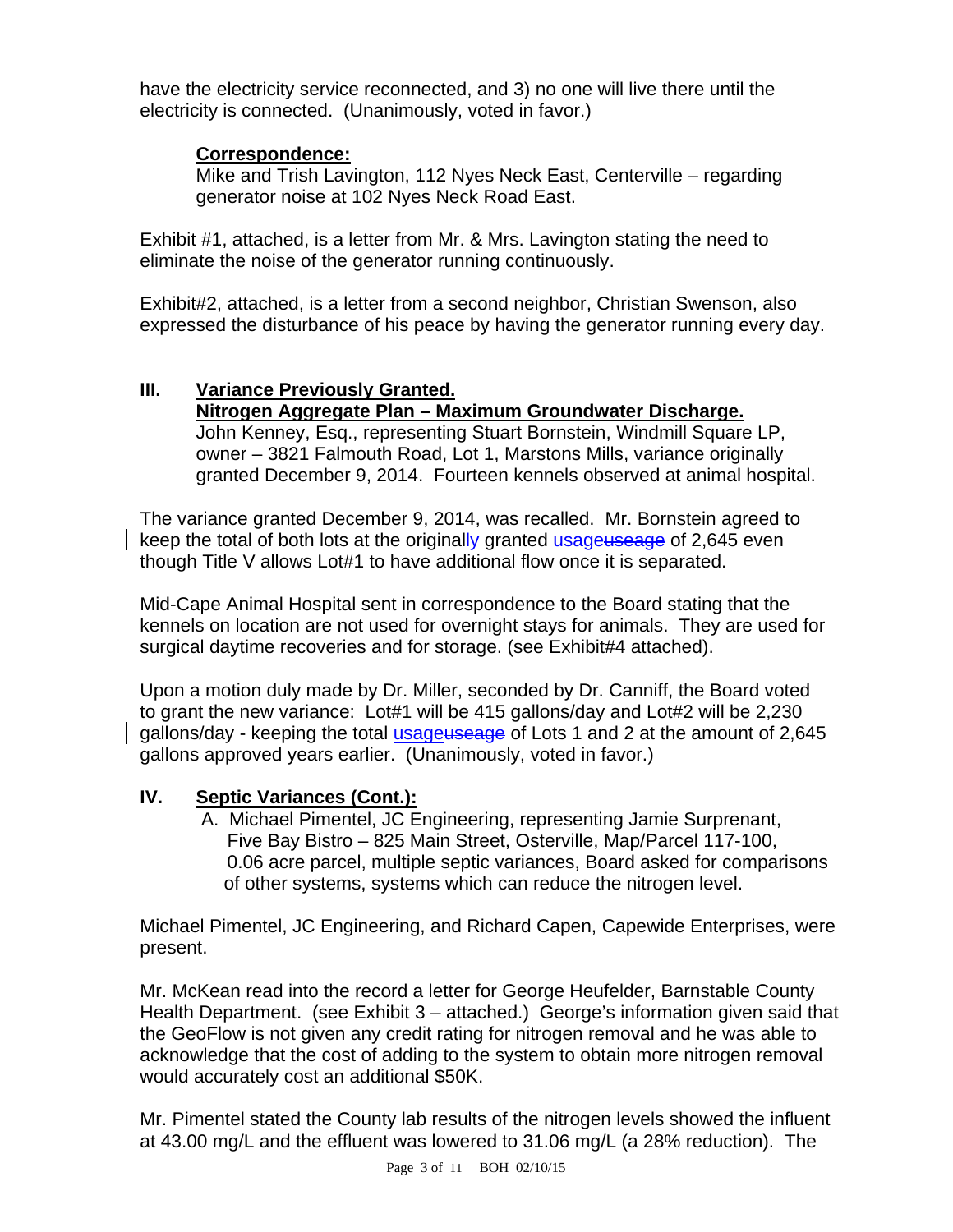have the electricity service reconnected, and 3) no one will live there until the electricity is connected. (Unanimously, voted in favor.)

## **Correspondence:**

Mike and Trish Lavington, 112 Nyes Neck East, Centerville – regarding generator noise at 102 Nyes Neck Road East.

Exhibit #1, attached, is a letter from Mr. & Mrs. Lavington stating the need to eliminate the noise of the generator running continuously.

Exhibit#2, attached, is a letter from a second neighbor, Christian Swenson, also expressed the disturbance of his peace by having the generator running every day.

## **III. Variance Previously Granted.**

**Nitrogen Aggregate Plan – Maximum Groundwater Discharge.**  John Kenney, Esq., representing Stuart Bornstein, Windmill Square LP, owner – 3821 Falmouth Road, Lot 1, Marstons Mills, variance originally granted December 9, 2014. Fourteen kennels observed at animal hospital.

The variance granted December 9, 2014, was recalled. Mr. Bornstein agreed to keep the total of both lots at the originally granted usageuseage of 2,645 even though Title V allows Lot#1 to have additional flow once it is separated.

Mid-Cape Animal Hospital sent in correspondence to the Board stating that the kennels on location are not used for overnight stays for animals. They are used for surgical daytime recoveries and for storage. (see Exhibit#4 attached).

Upon a motion duly made by Dr. Miller, seconded by Dr. Canniff, the Board voted to grant the new variance: Lot#1 will be 415 gallons/day and Lot#2 will be 2,230 gallons/day - keeping the total usageuseage of Lots 1 and 2 at the amount of 2,645 gallons approved years earlier. (Unanimously, voted in favor.)

## **IV. Septic Variances (Cont.):**

 A. Michael Pimentel, JC Engineering, representing Jamie Surprenant, Five Bay Bistro – 825 Main Street, Osterville, Map/Parcel 117-100, 0.06 acre parcel, multiple septic variances, Board asked for comparisons of other systems, systems which can reduce the nitrogen level.

Michael Pimentel, JC Engineering, and Richard Capen, Capewide Enterprises, were present.

Mr. McKean read into the record a letter for George Heufelder, Barnstable County Health Department. (see Exhibit 3 – attached.) George's information given said that the GeoFlow is not given any credit rating for nitrogen removal and he was able to acknowledge that the cost of adding to the system to obtain more nitrogen removal would accurately cost an additional \$50K.

Mr. Pimentel stated the County lab results of the nitrogen levels showed the influent at 43.00 mg/L and the effluent was lowered to 31.06 mg/L (a 28% reduction). The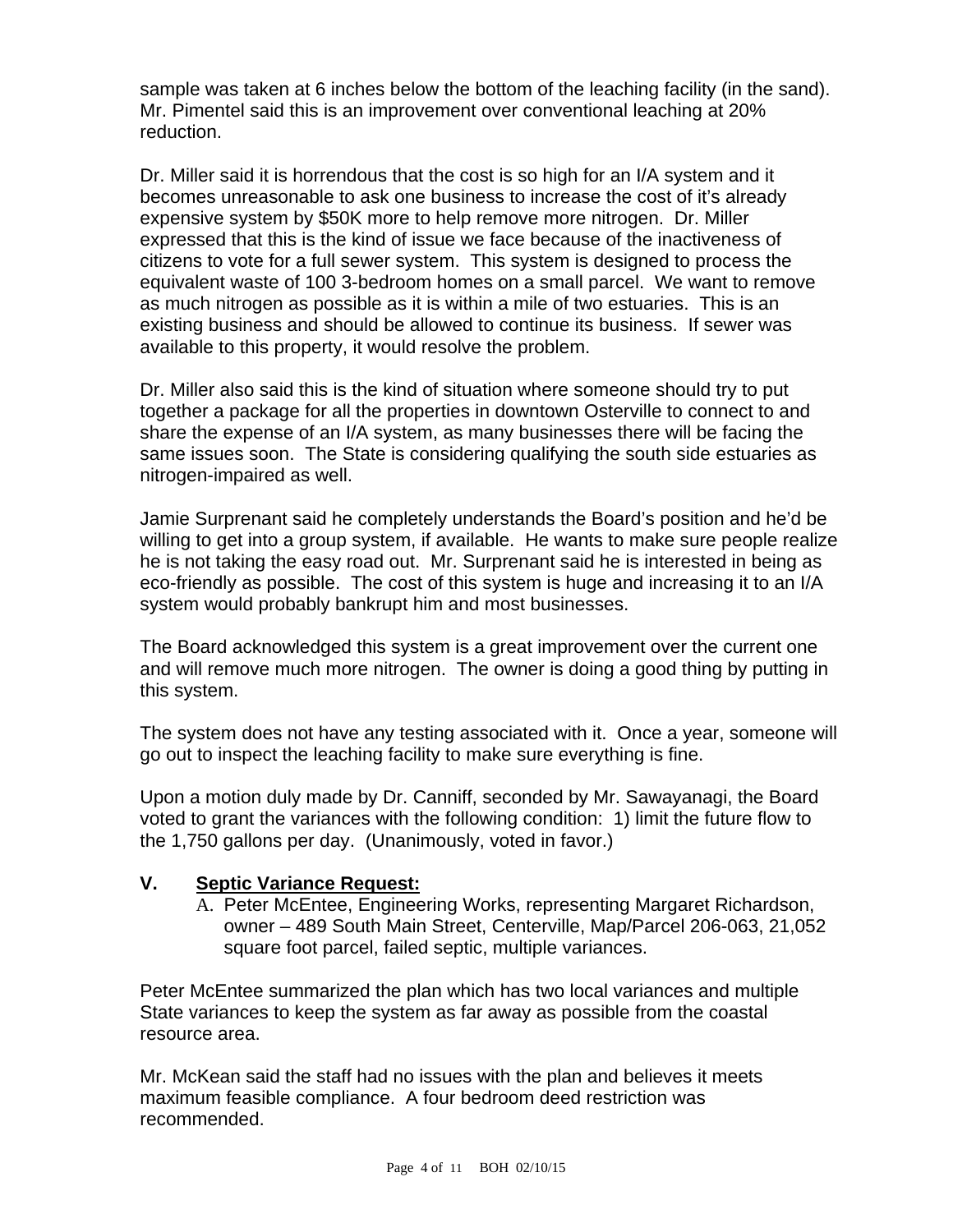sample was taken at 6 inches below the bottom of the leaching facility (in the sand). Mr. Pimentel said this is an improvement over conventional leaching at 20% reduction.

Dr. Miller said it is horrendous that the cost is so high for an I/A system and it becomes unreasonable to ask one business to increase the cost of it's already expensive system by \$50K more to help remove more nitrogen. Dr. Miller expressed that this is the kind of issue we face because of the inactiveness of citizens to vote for a full sewer system. This system is designed to process the equivalent waste of 100 3-bedroom homes on a small parcel. We want to remove as much nitrogen as possible as it is within a mile of two estuaries. This is an existing business and should be allowed to continue its business. If sewer was available to this property, it would resolve the problem.

Dr. Miller also said this is the kind of situation where someone should try to put together a package for all the properties in downtown Osterville to connect to and share the expense of an I/A system, as many businesses there will be facing the same issues soon. The State is considering qualifying the south side estuaries as nitrogen-impaired as well.

Jamie Surprenant said he completely understands the Board's position and he'd be willing to get into a group system, if available. He wants to make sure people realize he is not taking the easy road out. Mr. Surprenant said he is interested in being as eco-friendly as possible. The cost of this system is huge and increasing it to an I/A system would probably bankrupt him and most businesses.

The Board acknowledged this system is a great improvement over the current one and will remove much more nitrogen. The owner is doing a good thing by putting in this system.

The system does not have any testing associated with it. Once a year, someone will go out to inspect the leaching facility to make sure everything is fine.

Upon a motion duly made by Dr. Canniff, seconded by Mr. Sawayanagi, the Board voted to grant the variances with the following condition: 1) limit the future flow to the 1,750 gallons per day. (Unanimously, voted in favor.)

## **V. Septic Variance Request:**

A. Peter McEntee, Engineering Works, representing Margaret Richardson, owner – 489 South Main Street, Centerville, Map/Parcel 206-063, 21,052 square foot parcel, failed septic, multiple variances.

Peter McEntee summarized the plan which has two local variances and multiple State variances to keep the system as far away as possible from the coastal resource area.

Mr. McKean said the staff had no issues with the plan and believes it meets maximum feasible compliance. A four bedroom deed restriction was recommended.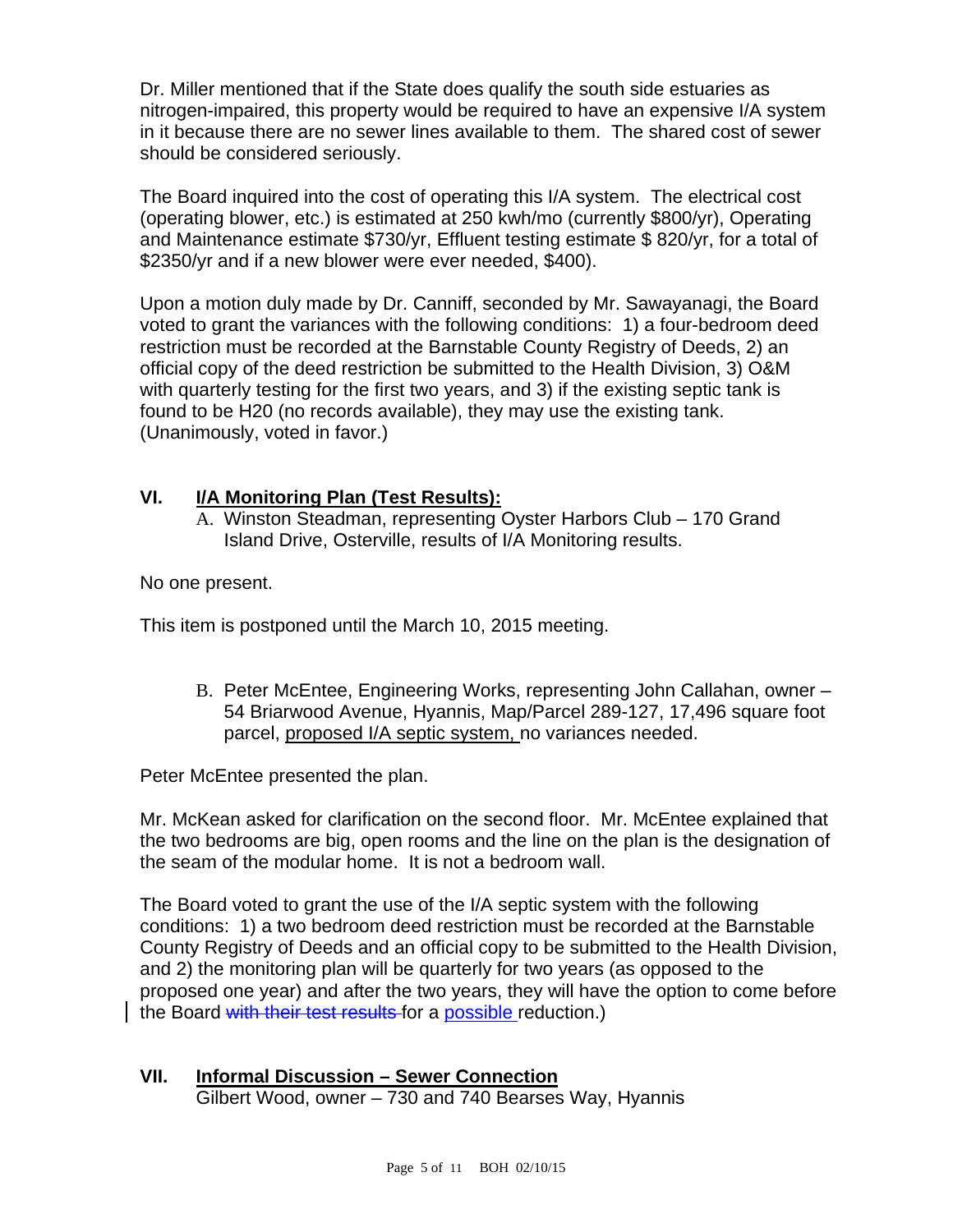Dr. Miller mentioned that if the State does qualify the south side estuaries as nitrogen-impaired, this property would be required to have an expensive I/A system in it because there are no sewer lines available to them. The shared cost of sewer should be considered seriously.

The Board inquired into the cost of operating this I/A system. The electrical cost (operating blower, etc.) is estimated at 250 kwh/mo (currently \$800/yr), Operating and Maintenance estimate \$730/yr, Effluent testing estimate \$ 820/yr, for a total of \$2350/yr and if a new blower were ever needed, \$400).

Upon a motion duly made by Dr. Canniff, seconded by Mr. Sawayanagi, the Board voted to grant the variances with the following conditions: 1) a four-bedroom deed restriction must be recorded at the Barnstable County Registry of Deeds, 2) an official copy of the deed restriction be submitted to the Health Division, 3) O&M with quarterly testing for the first two years, and 3) if the existing septic tank is found to be H20 (no records available), they may use the existing tank. (Unanimously, voted in favor.)

## **VI. I/A Monitoring Plan (Test Results):**

A. Winston Steadman, representing Oyster Harbors Club – 170 Grand Island Drive, Osterville, results of I/A Monitoring results.

No one present.

This item is postponed until the March 10, 2015 meeting.

B. Peter McEntee, Engineering Works, representing John Callahan, owner – 54 Briarwood Avenue, Hyannis, Map/Parcel 289-127, 17,496 square foot parcel, proposed I/A septic system, no variances needed.

Peter McEntee presented the plan.

Mr. McKean asked for clarification on the second floor. Mr. McEntee explained that the two bedrooms are big, open rooms and the line on the plan is the designation of the seam of the modular home. It is not a bedroom wall.

The Board voted to grant the use of the I/A septic system with the following conditions: 1) a two bedroom deed restriction must be recorded at the Barnstable County Registry of Deeds and an official copy to be submitted to the Health Division, and 2) the monitoring plan will be quarterly for two years (as opposed to the proposed one year) and after the two years, they will have the option to come before the Board with their test results for a possible reduction.)

# **VII. Informal Discussion – Sewer Connection**

Gilbert Wood, owner – 730 and 740 Bearses Way, Hyannis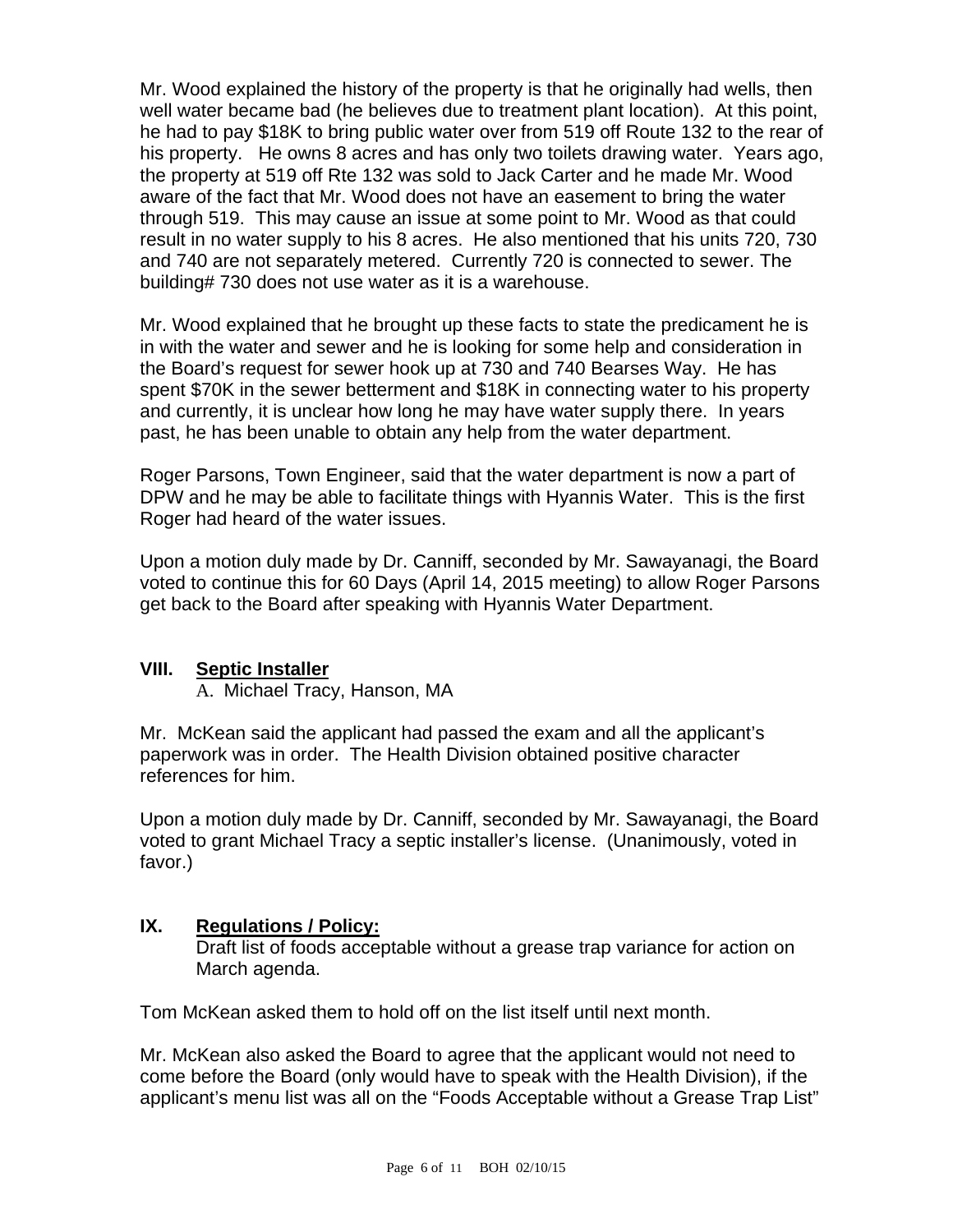Mr. Wood explained the history of the property is that he originally had wells, then well water became bad (he believes due to treatment plant location). At this point, he had to pay \$18K to bring public water over from 519 off Route 132 to the rear of his property. He owns 8 acres and has only two toilets drawing water. Years ago, the property at 519 off Rte 132 was sold to Jack Carter and he made Mr. Wood aware of the fact that Mr. Wood does not have an easement to bring the water through 519. This may cause an issue at some point to Mr. Wood as that could result in no water supply to his 8 acres. He also mentioned that his units 720, 730 and 740 are not separately metered. Currently 720 is connected to sewer. The building# 730 does not use water as it is a warehouse.

Mr. Wood explained that he brought up these facts to state the predicament he is in with the water and sewer and he is looking for some help and consideration in the Board's request for sewer hook up at 730 and 740 Bearses Way. He has spent \$70K in the sewer betterment and \$18K in connecting water to his property and currently, it is unclear how long he may have water supply there. In years past, he has been unable to obtain any help from the water department.

Roger Parsons, Town Engineer, said that the water department is now a part of DPW and he may be able to facilitate things with Hyannis Water. This is the first Roger had heard of the water issues.

Upon a motion duly made by Dr. Canniff, seconded by Mr. Sawayanagi, the Board voted to continue this for 60 Days (April 14, 2015 meeting) to allow Roger Parsons get back to the Board after speaking with Hyannis Water Department.

## **VIII. Septic Installer**

A. Michael Tracy, Hanson, MA

Mr. McKean said the applicant had passed the exam and all the applicant's paperwork was in order. The Health Division obtained positive character references for him.

Upon a motion duly made by Dr. Canniff, seconded by Mr. Sawayanagi, the Board voted to grant Michael Tracy a septic installer's license. (Unanimously, voted in favor.)

## **IX. Regulations / Policy:**

Draft list of foods acceptable without a grease trap variance for action on March agenda.

Tom McKean asked them to hold off on the list itself until next month.

Mr. McKean also asked the Board to agree that the applicant would not need to come before the Board (only would have to speak with the Health Division), if the applicant's menu list was all on the "Foods Acceptable without a Grease Trap List"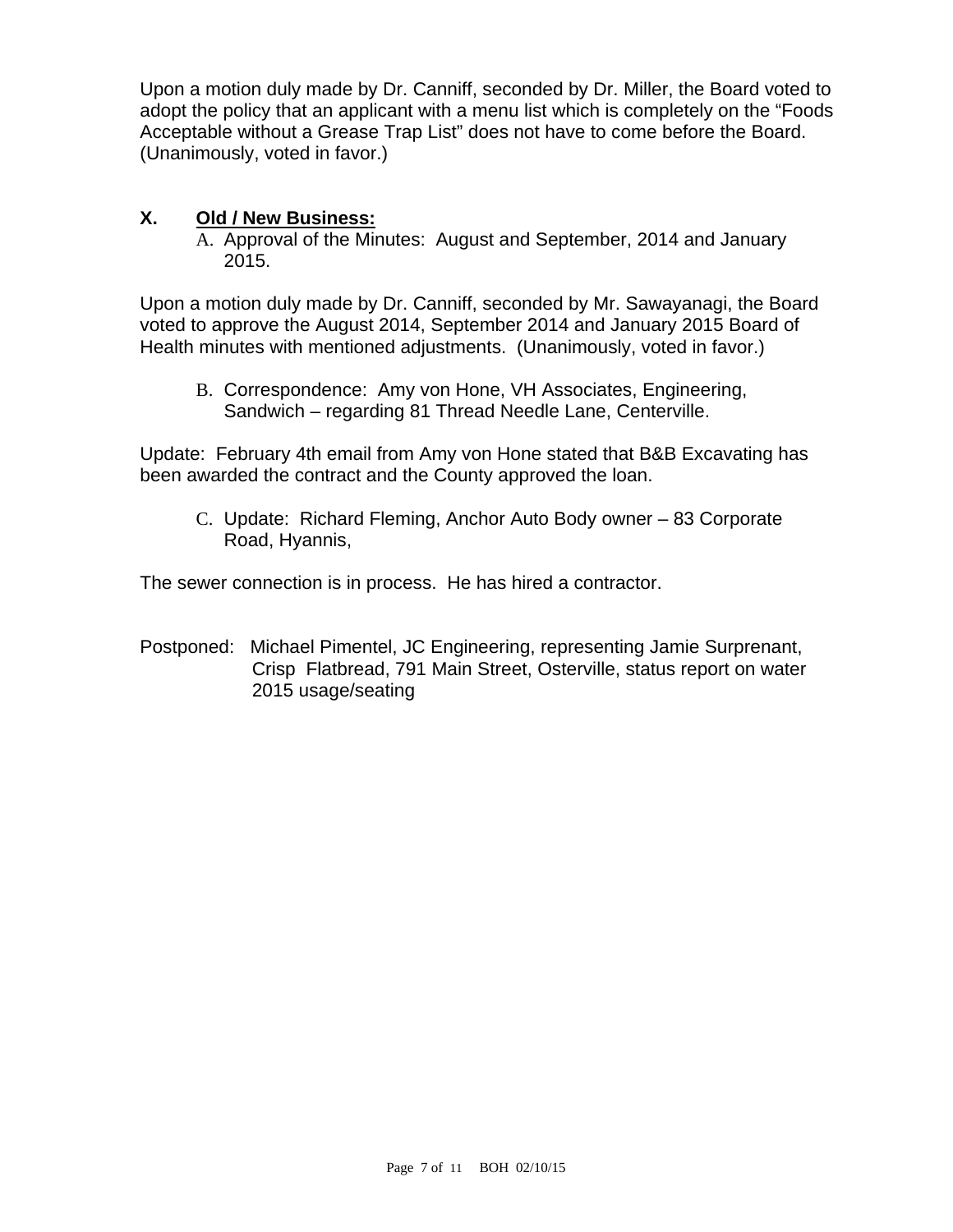Upon a motion duly made by Dr. Canniff, seconded by Dr. Miller, the Board voted to adopt the policy that an applicant with a menu list which is completely on the "Foods Acceptable without a Grease Trap List" does not have to come before the Board. (Unanimously, voted in favor.)

## **X. Old / New Business:**

A. Approval of the Minutes: August and September, 2014 and January 2015.

Upon a motion duly made by Dr. Canniff, seconded by Mr. Sawayanagi, the Board voted to approve the August 2014, September 2014 and January 2015 Board of Health minutes with mentioned adjustments. (Unanimously, voted in favor.)

B. Correspondence: Amy von Hone, VH Associates, Engineering, Sandwich – regarding 81 Thread Needle Lane, Centerville.

Update: February 4th email from Amy von Hone stated that B&B Excavating has been awarded the contract and the County approved the loan.

C. Update: Richard Fleming, Anchor Auto Body owner – 83 Corporate Road, Hyannis,

The sewer connection is in process. He has hired a contractor.

Postponed: Michael Pimentel, JC Engineering, representing Jamie Surprenant, Crisp Flatbread, 791 Main Street, Osterville, status report on water 2015 usage/seating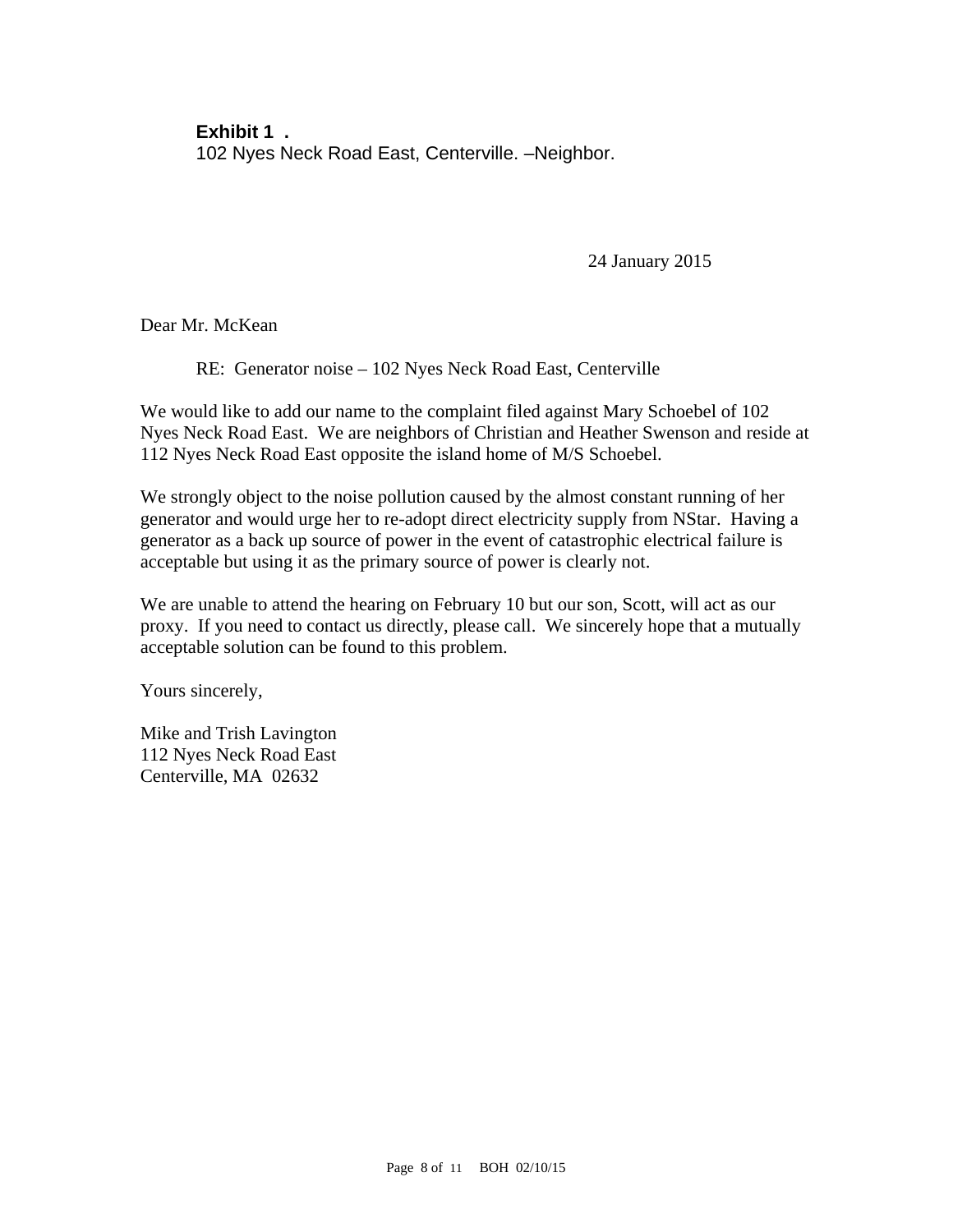**Exhibit 1 .**  102 Nyes Neck Road East, Centerville. –Neighbor.

24 January 2015

Dear Mr. McKean

RE: Generator noise – 102 Nyes Neck Road East, Centerville

We would like to add our name to the complaint filed against Mary Schoebel of 102 Nyes Neck Road East. We are neighbors of Christian and Heather Swenson and reside at 112 Nyes Neck Road East opposite the island home of M/S Schoebel.

We strongly object to the noise pollution caused by the almost constant running of her generator and would urge her to re-adopt direct electricity supply from NStar. Having a generator as a back up source of power in the event of catastrophic electrical failure is acceptable but using it as the primary source of power is clearly not.

We are unable to attend the hearing on February 10 but our son, Scott, will act as our proxy. If you need to contact us directly, please call. We sincerely hope that a mutually acceptable solution can be found to this problem.

Yours sincerely,

Mike and Trish Lavington 112 Nyes Neck Road East Centerville, MA 02632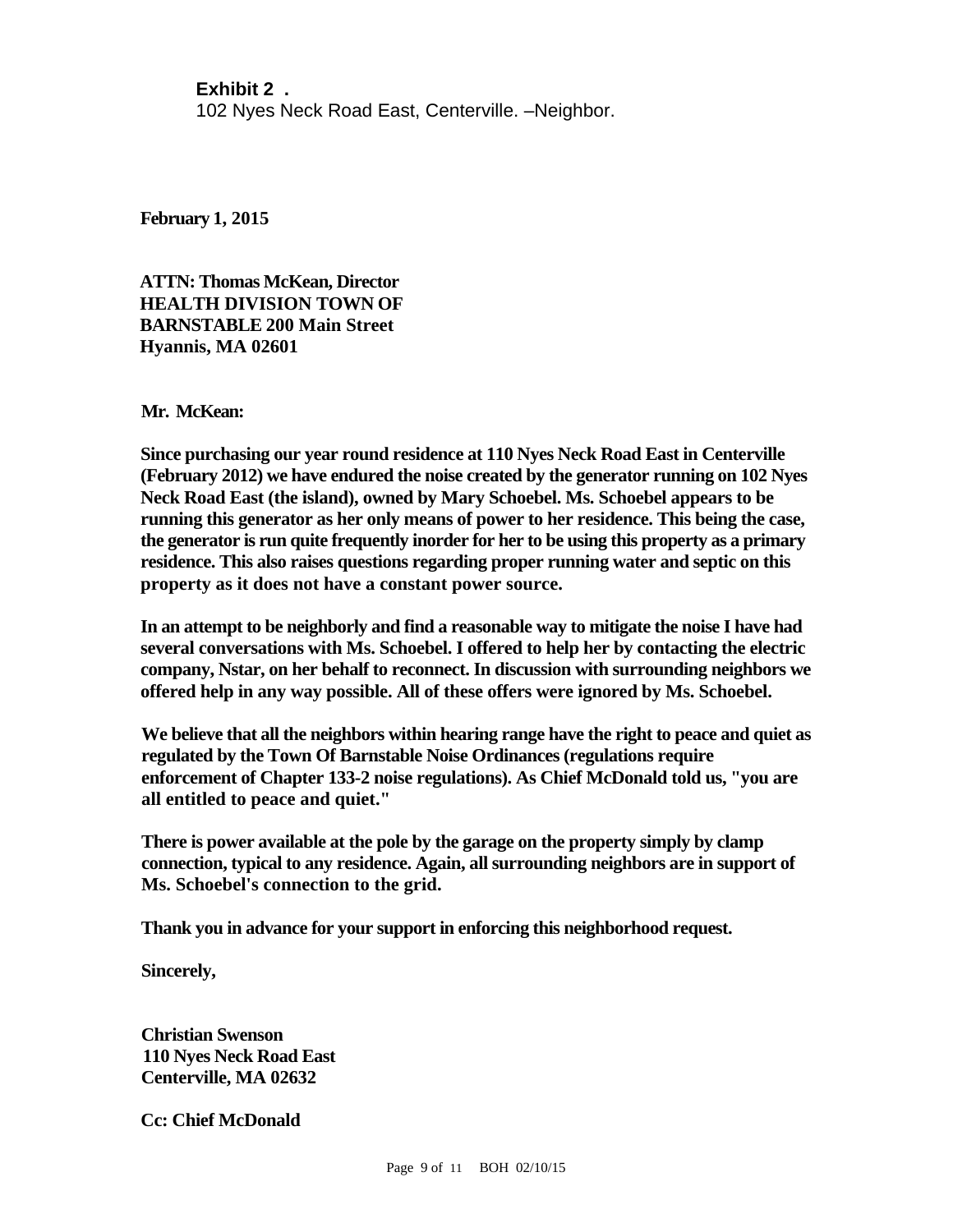#### **Exhibit 2 .**

102 Nyes Neck Road East, Centerville. –Neighbor.

**February 1, 2015**

**ATTN: Thomas McKean, Director HEALTH DIVISION TOWN OF BARNSTABLE 200 Main Street Hyannis, MA 02601**

**Mr. McKean:**

**Since purchasing our year round residence at 110 Nyes Neck Road East in Centerville (February 2012) we have endured the noise created by the generator running on 102 Nyes Neck Road East (the island), owned by Mary Schoebel. Ms. Schoebel appears to be running this generator as her only means of power to her residence. This being the case, the generator is run quite frequently inorder for her to be using this property as a primary residence. This also raises questions regarding proper running water and septic on this property as it does not have a constant power source.**

**In an attempt to be neighborly and find a reasonable way to mitigate the noise I have had several conversations with Ms. Schoebel. I offered to help her by contacting the electric company, Nstar, on her behalf to reconnect. In discussion with surrounding neighbors we offered help in any way possible. All of these offers were ignored by Ms. Schoebel.**

**We believe that all the neighbors within hearing range have the right to peace and quiet as regulated by the Town Of Barnstable Noise Ordinances (regulations require enforcement of Chapter 133-2 noise regulations). As Chief McDonald told us, "you are all entitled to peace and quiet."**

**There is power available at the pole by the garage on the property simply by clamp connection, typical to any residence. Again, all surrounding neighbors are in support of Ms. Schoebel's connection to the grid.**

**Thank you in advance for your support in enforcing this neighborhood request.**

**Sincerely,**

**Christian Swenson 110 Nyes Neck Road East Centerville, MA 02632**

**Cc: Chief McDonald**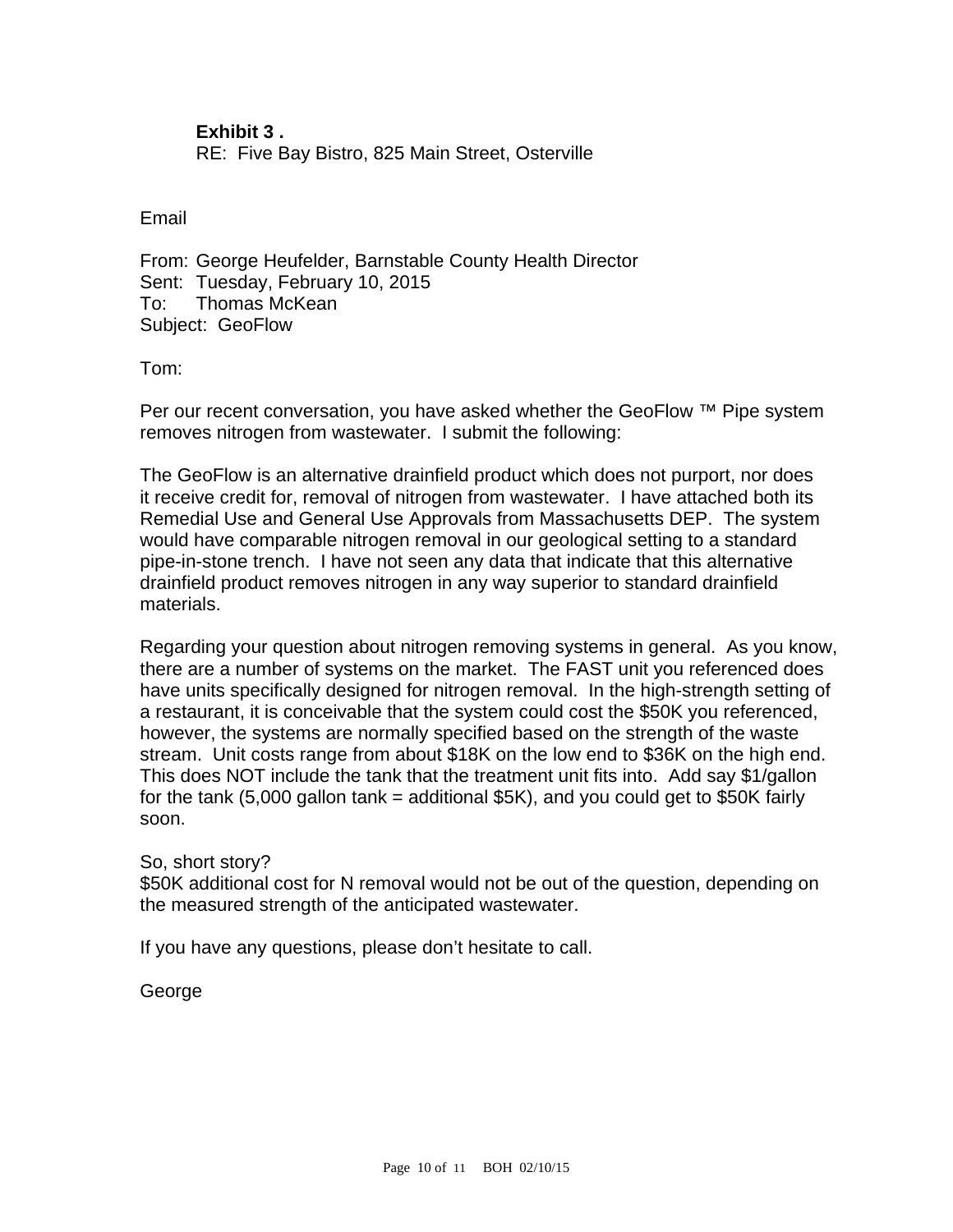**Exhibit 3 .**  RE: Five Bay Bistro, 825 Main Street, Osterville

Email

From: George Heufelder, Barnstable County Health Director Sent: Tuesday, February 10, 2015 To: Thomas McKean Subject: GeoFlow

Tom:

Per our recent conversation, you have asked whether the GeoFlow ™ Pipe system removes nitrogen from wastewater. I submit the following:

The GeoFlow is an alternative drainfield product which does not purport, nor does it receive credit for, removal of nitrogen from wastewater. I have attached both its Remedial Use and General Use Approvals from Massachusetts DEP. The system would have comparable nitrogen removal in our geological setting to a standard pipe-in-stone trench. I have not seen any data that indicate that this alternative drainfield product removes nitrogen in any way superior to standard drainfield materials.

Regarding your question about nitrogen removing systems in general. As you know, there are a number of systems on the market. The FAST unit you referenced does have units specifically designed for nitrogen removal. In the high-strength setting of a restaurant, it is conceivable that the system could cost the \$50K you referenced, however, the systems are normally specified based on the strength of the waste stream. Unit costs range from about \$18K on the low end to \$36K on the high end. This does NOT include the tank that the treatment unit fits into. Add say \$1/gallon for the tank (5,000 gallon tank = additional  $$5K$ ), and you could get to  $$50K$  fairly soon.

So, short story?

\$50K additional cost for N removal would not be out of the question, depending on the measured strength of the anticipated wastewater.

If you have any questions, please don't hesitate to call.

George